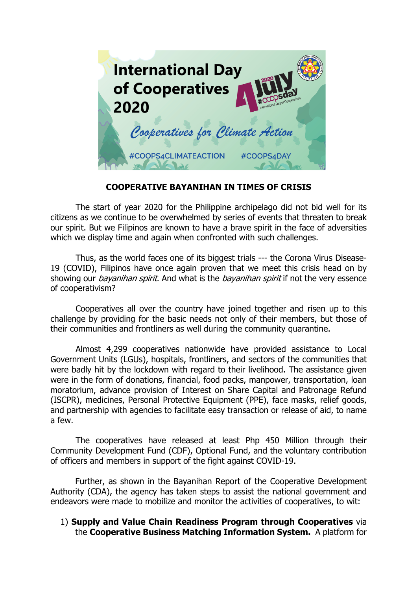

## **COOPERATIVE BAYANIHAN IN TIMES OF CRISIS**

The start of year 2020 for the Philippine archipelago did not bid well for its citizens as we continue to be overwhelmed by series of events that threaten to break our spirit. But we Filipinos are known to have a brave spirit in the face of adversities which we display time and again when confronted with such challenges.

Thus, as the world faces one of its biggest trials --- the Corona Virus Disease-19 (COVID), Filipinos have once again proven that we meet this crisis head on by showing our *bayanihan spirit*. And what is the *bayanihan spirit* if not the very essence of cooperativism?

Cooperatives all over the country have joined together and risen up to this challenge by providing for the basic needs not only of their members, but those of their communities and frontliners as well during the community quarantine.

Almost 4,299 cooperatives nationwide have provided assistance to Local Government Units (LGUs), hospitals, frontliners, and sectors of the communities that were badly hit by the lockdown with regard to their livelihood. The assistance given were in the form of donations, financial, food packs, manpower, transportation, loan moratorium, advance provision of Interest on Share Capital and Patronage Refund (ISCPR), medicines, Personal Protective Equipment (PPE), face masks, relief goods, and partnership with agencies to facilitate easy transaction or release of aid, to name a few.

The cooperatives have released at least Php 450 Million through their Community Development Fund (CDF), Optional Fund, and the voluntary contribution of officers and members in support of the fight against COVID-19.

Further, as shown in the Bayanihan Report of the Cooperative Development Authority (CDA), the agency has taken steps to assist the national government and endeavors were made to mobilize and monitor the activities of cooperatives, to wit:

## 1) **Supply and Value Chain Readiness Program through Cooperatives** via the **Cooperative Business Matching Information System.** A platform for